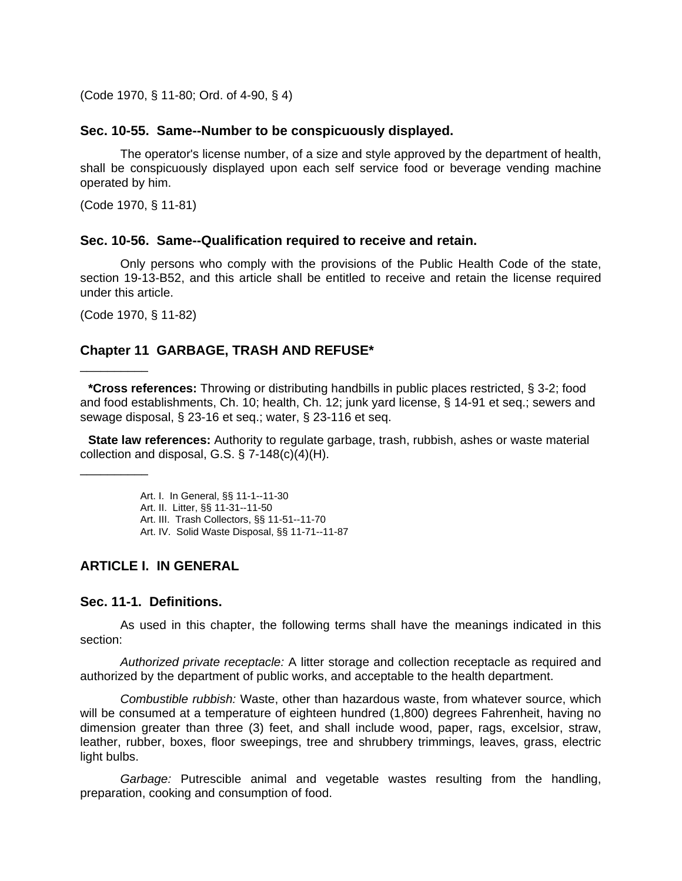(Code 1970, § 11-80; Ord. of 4-90, § 4)

#### **Sec. 10-55. Same--Number to be conspicuously displayed.**

The operator's license number, of a size and style approved by the department of health, shall be conspicuously displayed upon each self service food or beverage vending machine operated by him.

(Code 1970, § 11-81)

#### **Sec. 10-56. Same--Qualification required to receive and retain.**

Only persons who comply with the provisions of the Public Health Code of the state, section 19-13-B52, and this article shall be entitled to receive and retain the license required under this article.

(Code 1970, § 11-82)

\_\_\_\_\_\_\_\_\_\_

\_\_\_\_\_\_\_\_\_\_

# **Chapter 11 GARBAGE, TRASH AND REFUSE\***

**\*Cross references:** Throwing or distributing handbills in public places restricted, § 3-2; food and food establishments, Ch. 10; health, Ch. 12; junk yard license, § 14-91 et seq.; sewers and sewage disposal, § 23-16 et seq.; water, § 23-116 et seq.

**State law references:** Authority to regulate garbage, trash, rubbish, ashes or waste material collection and disposal, G.S. § 7-148(c)(4)(H).

Art. I. In General, §§ 11-1--11-30

```
Art. II. Litter, §§ 11-31--11-50
```
Art. III. Trash Collectors, §§ 11-51--11-70

Art. IV. Solid Waste Disposal, §§ 11-71--11-87

# **ARTICLE I. IN GENERAL**

#### **Sec. 11-1. Definitions.**

As used in this chapter, the following terms shall have the meanings indicated in this section:

*Authorized private receptacle:* A litter storage and collection receptacle as required and authorized by the department of public works, and acceptable to the health department.

*Combustible rubbish:* Waste, other than hazardous waste, from whatever source, which will be consumed at a temperature of eighteen hundred (1,800) degrees Fahrenheit, having no dimension greater than three (3) feet, and shall include wood, paper, rags, excelsior, straw, leather, rubber, boxes, floor sweepings, tree and shrubbery trimmings, leaves, grass, electric light bulbs.

*Garbage:* Putrescible animal and vegetable wastes resulting from the handling, preparation, cooking and consumption of food.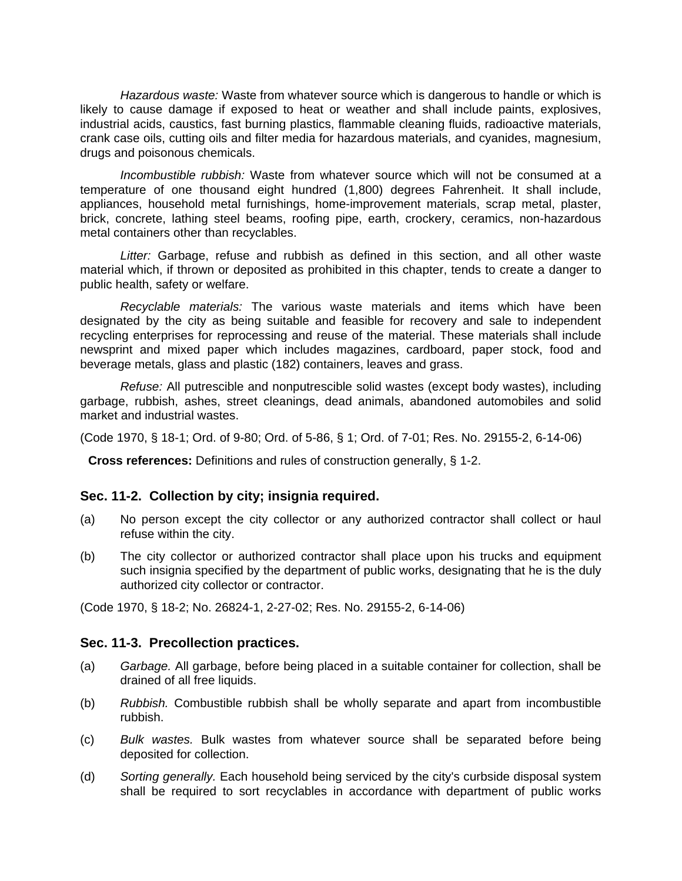*Hazardous waste:* Waste from whatever source which is dangerous to handle or which is likely to cause damage if exposed to heat or weather and shall include paints, explosives, industrial acids, caustics, fast burning plastics, flammable cleaning fluids, radioactive materials, crank case oils, cutting oils and filter media for hazardous materials, and cyanides, magnesium, drugs and poisonous chemicals.

*Incombustible rubbish:* Waste from whatever source which will not be consumed at a temperature of one thousand eight hundred (1,800) degrees Fahrenheit. It shall include, appliances, household metal furnishings, home-improvement materials, scrap metal, plaster, brick, concrete, lathing steel beams, roofing pipe, earth, crockery, ceramics, non-hazardous metal containers other than recyclables.

*Litter:* Garbage, refuse and rubbish as defined in this section, and all other waste material which, if thrown or deposited as prohibited in this chapter, tends to create a danger to public health, safety or welfare.

*Recyclable materials:* The various waste materials and items which have been designated by the city as being suitable and feasible for recovery and sale to independent recycling enterprises for reprocessing and reuse of the material. These materials shall include newsprint and mixed paper which includes magazines, cardboard, paper stock, food and beverage metals, glass and plastic (182) containers, leaves and grass.

*Refuse:* All putrescible and nonputrescible solid wastes (except body wastes), including garbage, rubbish, ashes, street cleanings, dead animals, abandoned automobiles and solid market and industrial wastes.

(Code 1970, § 18-1; Ord. of 9-80; Ord. of 5-86, § 1; Ord. of 7-01; Res. No. 29155-2, 6-14-06)

**Cross references:** Definitions and rules of construction generally, § 1-2.

#### **Sec. 11-2. Collection by city; insignia required.**

- (a) No person except the city collector or any authorized contractor shall collect or haul refuse within the city.
- (b) The city collector or authorized contractor shall place upon his trucks and equipment such insignia specified by the department of public works, designating that he is the duly authorized city collector or contractor.

(Code 1970, § 18-2; No. 26824-1, 2-27-02; Res. No. 29155-2, 6-14-06)

#### **Sec. 11-3. Precollection practices.**

- (a) *Garbage.* All garbage, before being placed in a suitable container for collection, shall be drained of all free liquids.
- (b) *Rubbish.* Combustible rubbish shall be wholly separate and apart from incombustible rubbish.
- (c) *Bulk wastes.* Bulk wastes from whatever source shall be separated before being deposited for collection.
- (d) *Sorting generally.* Each household being serviced by the city's curbside disposal system shall be required to sort recyclables in accordance with department of public works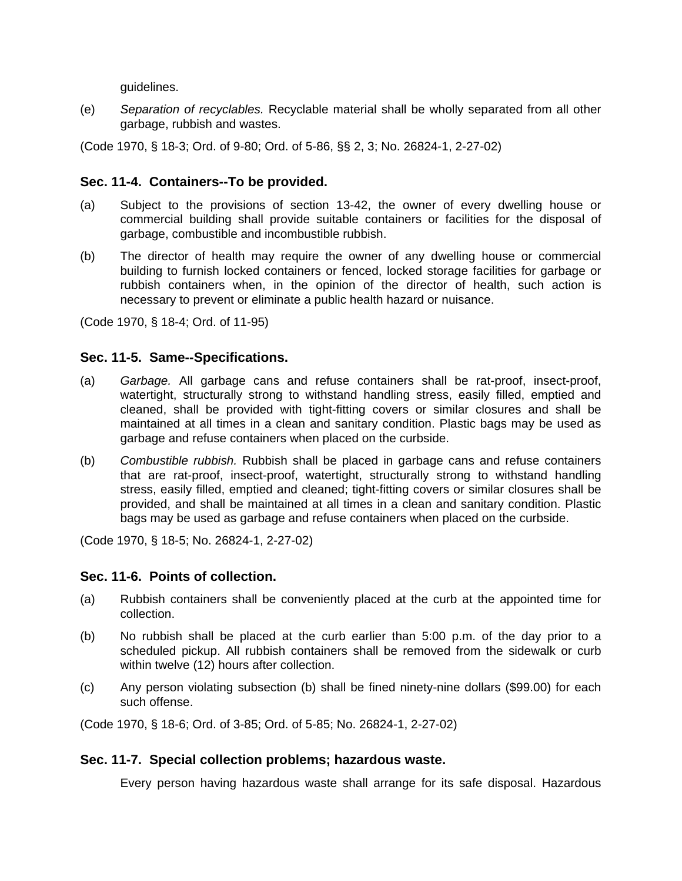guidelines.

(e) *Separation of recyclables.* Recyclable material shall be wholly separated from all other garbage, rubbish and wastes.

(Code 1970, § 18-3; Ord. of 9-80; Ord. of 5-86, §§ 2, 3; No. 26824-1, 2-27-02)

# **Sec. 11-4. Containers--To be provided.**

- (a) Subject to the provisions of section 13-42, the owner of every dwelling house or commercial building shall provide suitable containers or facilities for the disposal of garbage, combustible and incombustible rubbish.
- (b) The director of health may require the owner of any dwelling house or commercial building to furnish locked containers or fenced, locked storage facilities for garbage or rubbish containers when, in the opinion of the director of health, such action is necessary to prevent or eliminate a public health hazard or nuisance.

(Code 1970, § 18-4; Ord. of 11-95)

## **Sec. 11-5. Same--Specifications.**

- (a) *Garbage.* All garbage cans and refuse containers shall be rat-proof, insect-proof, watertight, structurally strong to withstand handling stress, easily filled, emptied and cleaned, shall be provided with tight-fitting covers or similar closures and shall be maintained at all times in a clean and sanitary condition. Plastic bags may be used as garbage and refuse containers when placed on the curbside.
- (b) *Combustible rubbish.* Rubbish shall be placed in garbage cans and refuse containers that are rat-proof, insect-proof, watertight, structurally strong to withstand handling stress, easily filled, emptied and cleaned; tight-fitting covers or similar closures shall be provided, and shall be maintained at all times in a clean and sanitary condition. Plastic bags may be used as garbage and refuse containers when placed on the curbside.

(Code 1970, § 18-5; No. 26824-1, 2-27-02)

## **Sec. 11-6. Points of collection.**

- (a) Rubbish containers shall be conveniently placed at the curb at the appointed time for collection.
- (b) No rubbish shall be placed at the curb earlier than 5:00 p.m. of the day prior to a scheduled pickup. All rubbish containers shall be removed from the sidewalk or curb within twelve (12) hours after collection.
- (c) Any person violating subsection (b) shall be fined ninety-nine dollars (\$99.00) for each such offense.

(Code 1970, § 18-6; Ord. of 3-85; Ord. of 5-85; No. 26824-1, 2-27-02)

## **Sec. 11-7. Special collection problems; hazardous waste.**

Every person having hazardous waste shall arrange for its safe disposal. Hazardous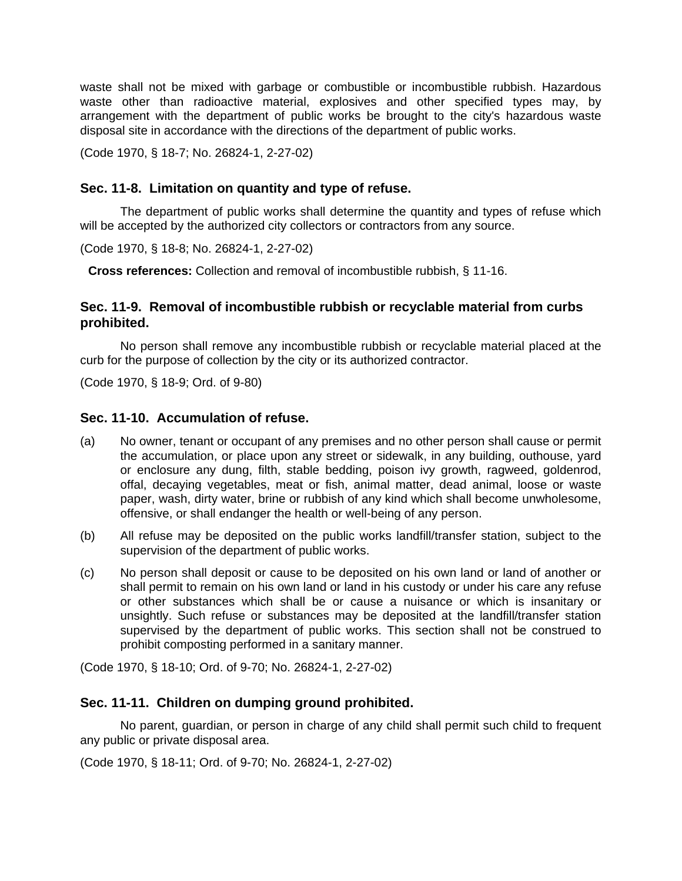waste shall not be mixed with garbage or combustible or incombustible rubbish. Hazardous waste other than radioactive material, explosives and other specified types may, by arrangement with the department of public works be brought to the city's hazardous waste disposal site in accordance with the directions of the department of public works.

(Code 1970, § 18-7; No. 26824-1, 2-27-02)

# **Sec. 11-8. Limitation on quantity and type of refuse.**

The department of public works shall determine the quantity and types of refuse which will be accepted by the authorized city collectors or contractors from any source.

(Code 1970, § 18-8; No. 26824-1, 2-27-02)

**Cross references:** Collection and removal of incombustible rubbish, § 11-16.

# **Sec. 11-9. Removal of incombustible rubbish or recyclable material from curbs prohibited.**

No person shall remove any incombustible rubbish or recyclable material placed at the curb for the purpose of collection by the city or its authorized contractor.

(Code 1970, § 18-9; Ord. of 9-80)

## **Sec. 11-10. Accumulation of refuse.**

- (a) No owner, tenant or occupant of any premises and no other person shall cause or permit the accumulation, or place upon any street or sidewalk, in any building, outhouse, yard or enclosure any dung, filth, stable bedding, poison ivy growth, ragweed, goldenrod, offal, decaying vegetables, meat or fish, animal matter, dead animal, loose or waste paper, wash, dirty water, brine or rubbish of any kind which shall become unwholesome, offensive, or shall endanger the health or well-being of any person.
- (b) All refuse may be deposited on the public works landfill/transfer station, subject to the supervision of the department of public works.
- (c) No person shall deposit or cause to be deposited on his own land or land of another or shall permit to remain on his own land or land in his custody or under his care any refuse or other substances which shall be or cause a nuisance or which is insanitary or unsightly. Such refuse or substances may be deposited at the landfill/transfer station supervised by the department of public works. This section shall not be construed to prohibit composting performed in a sanitary manner.

(Code 1970, § 18-10; Ord. of 9-70; No. 26824-1, 2-27-02)

# **Sec. 11-11. Children on dumping ground prohibited.**

No parent, guardian, or person in charge of any child shall permit such child to frequent any public or private disposal area.

(Code 1970, § 18-11; Ord. of 9-70; No. 26824-1, 2-27-02)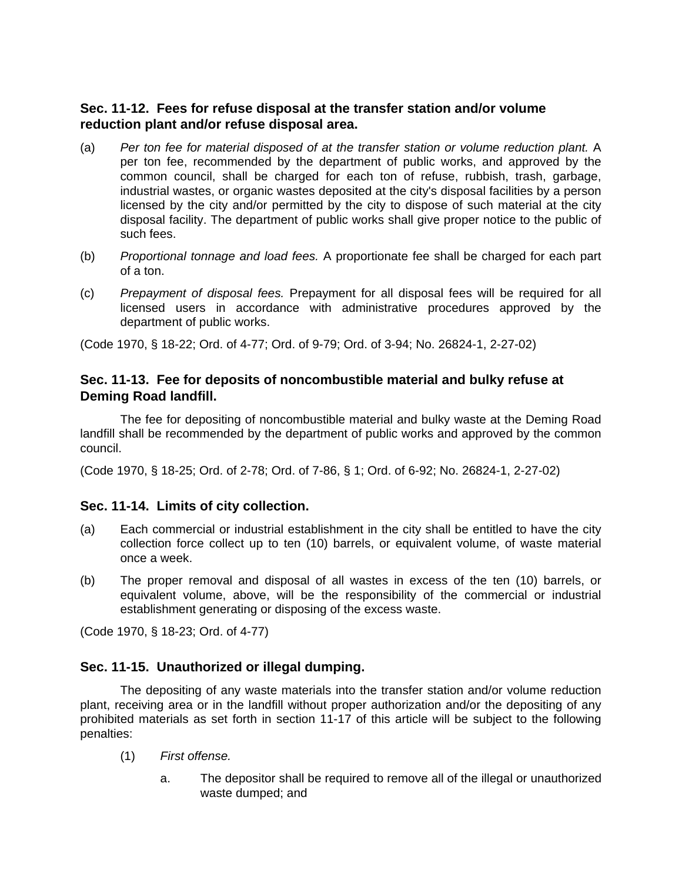# **Sec. 11-12. Fees for refuse disposal at the transfer station and/or volume reduction plant and/or refuse disposal area.**

- (a) *Per ton fee for material disposed of at the transfer station or volume reduction plant.* A per ton fee, recommended by the department of public works, and approved by the common council, shall be charged for each ton of refuse, rubbish, trash, garbage, industrial wastes, or organic wastes deposited at the city's disposal facilities by a person licensed by the city and/or permitted by the city to dispose of such material at the city disposal facility. The department of public works shall give proper notice to the public of such fees.
- (b) *Proportional tonnage and load fees.* A proportionate fee shall be charged for each part of a ton.
- (c) *Prepayment of disposal fees.* Prepayment for all disposal fees will be required for all licensed users in accordance with administrative procedures approved by the department of public works.

(Code 1970, § 18-22; Ord. of 4-77; Ord. of 9-79; Ord. of 3-94; No. 26824-1, 2-27-02)

# **Sec. 11-13. Fee for deposits of noncombustible material and bulky refuse at Deming Road landfill.**

The fee for depositing of noncombustible material and bulky waste at the Deming Road landfill shall be recommended by the department of public works and approved by the common council.

(Code 1970, § 18-25; Ord. of 2-78; Ord. of 7-86, § 1; Ord. of 6-92; No. 26824-1, 2-27-02)

# **Sec. 11-14. Limits of city collection.**

- (a) Each commercial or industrial establishment in the city shall be entitled to have the city collection force collect up to ten (10) barrels, or equivalent volume, of waste material once a week.
- (b) The proper removal and disposal of all wastes in excess of the ten (10) barrels, or equivalent volume, above, will be the responsibility of the commercial or industrial establishment generating or disposing of the excess waste.

(Code 1970, § 18-23; Ord. of 4-77)

# **Sec. 11-15. Unauthorized or illegal dumping.**

The depositing of any waste materials into the transfer station and/or volume reduction plant, receiving area or in the landfill without proper authorization and/or the depositing of any prohibited materials as set forth in section 11-17 of this article will be subject to the following penalties:

- (1) *First offense.*
	- a. The depositor shall be required to remove all of the illegal or unauthorized waste dumped; and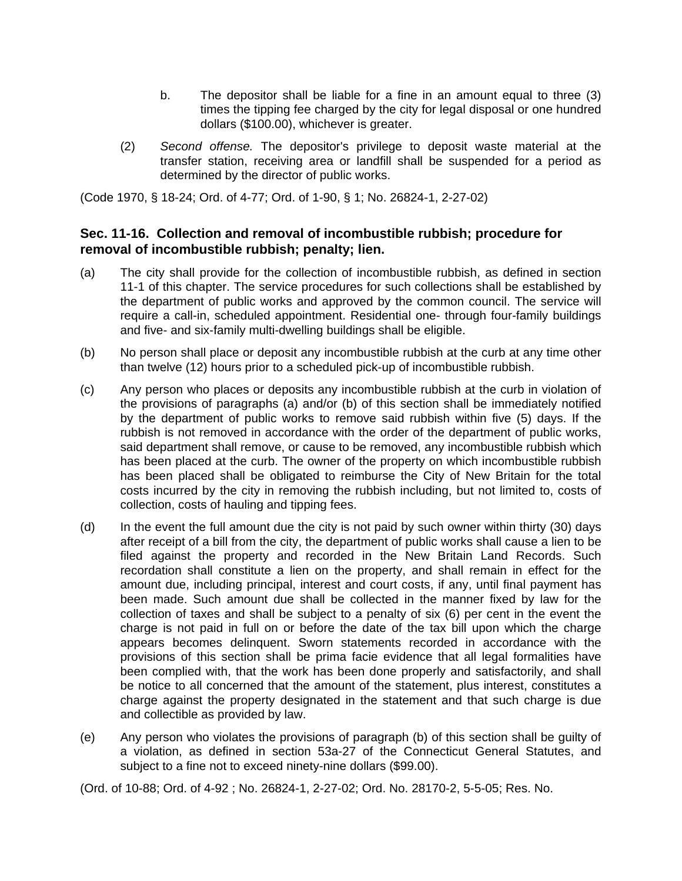- b. The depositor shall be liable for a fine in an amount equal to three (3) times the tipping fee charged by the city for legal disposal or one hundred dollars (\$100.00), whichever is greater.
- (2) *Second offense.* The depositor's privilege to deposit waste material at the transfer station, receiving area or landfill shall be suspended for a period as determined by the director of public works.

(Code 1970, § 18-24; Ord. of 4-77; Ord. of 1-90, § 1; No. 26824-1, 2-27-02)

# **Sec. 11-16. Collection and removal of incombustible rubbish; procedure for removal of incombustible rubbish; penalty; lien.**

- (a) The city shall provide for the collection of incombustible rubbish, as defined in section 11-1 of this chapter. The service procedures for such collections shall be established by the department of public works and approved by the common council. The service will require a call-in, scheduled appointment. Residential one- through four-family buildings and five- and six-family multi-dwelling buildings shall be eligible.
- (b) No person shall place or deposit any incombustible rubbish at the curb at any time other than twelve (12) hours prior to a scheduled pick-up of incombustible rubbish.
- (c) Any person who places or deposits any incombustible rubbish at the curb in violation of the provisions of paragraphs (a) and/or (b) of this section shall be immediately notified by the department of public works to remove said rubbish within five (5) days. If the rubbish is not removed in accordance with the order of the department of public works, said department shall remove, or cause to be removed, any incombustible rubbish which has been placed at the curb. The owner of the property on which incombustible rubbish has been placed shall be obligated to reimburse the City of New Britain for the total costs incurred by the city in removing the rubbish including, but not limited to, costs of collection, costs of hauling and tipping fees.
- (d) In the event the full amount due the city is not paid by such owner within thirty (30) days after receipt of a bill from the city, the department of public works shall cause a lien to be filed against the property and recorded in the New Britain Land Records. Such recordation shall constitute a lien on the property, and shall remain in effect for the amount due, including principal, interest and court costs, if any, until final payment has been made. Such amount due shall be collected in the manner fixed by law for the collection of taxes and shall be subject to a penalty of six (6) per cent in the event the charge is not paid in full on or before the date of the tax bill upon which the charge appears becomes delinquent. Sworn statements recorded in accordance with the provisions of this section shall be prima facie evidence that all legal formalities have been complied with, that the work has been done properly and satisfactorily, and shall be notice to all concerned that the amount of the statement, plus interest, constitutes a charge against the property designated in the statement and that such charge is due and collectible as provided by law.
- (e) Any person who violates the provisions of paragraph (b) of this section shall be guilty of a violation, as defined in section 53a-27 of the Connecticut General Statutes, and subject to a fine not to exceed ninety-nine dollars (\$99.00).

(Ord. of 10-88; Ord. of 4-92 ; No. 26824-1, 2-27-02; Ord. No. 28170-2, 5-5-05; Res. No.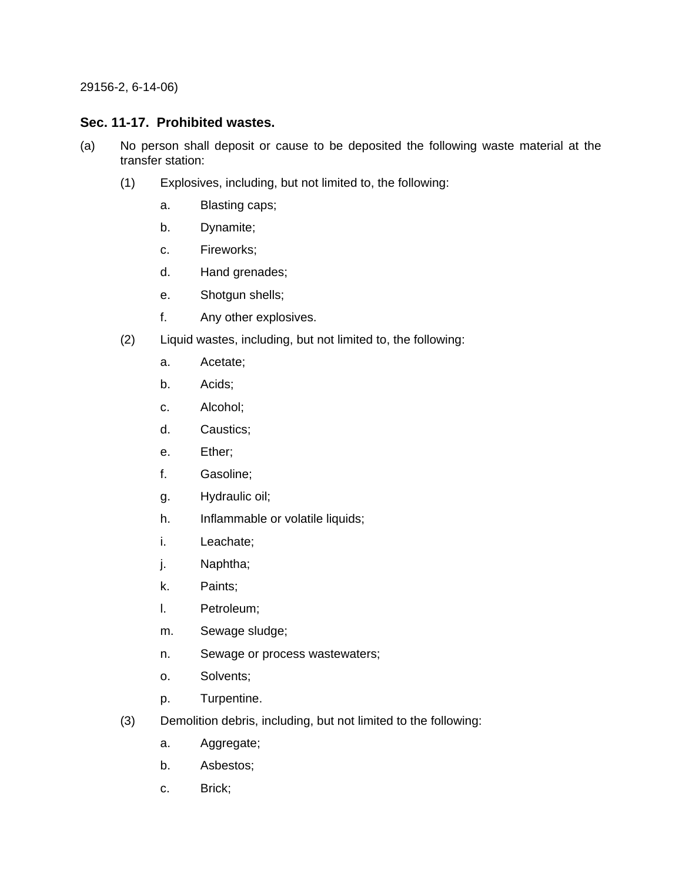29156-2, 6-14-06)

# **Sec. 11-17. Prohibited wastes.**

- (a) No person shall deposit or cause to be deposited the following waste material at the transfer station:
	- (1) Explosives, including, but not limited to, the following:
		- a. Blasting caps;
		- b. Dynamite;
		- c. Fireworks;
		- d. Hand grenades;
		- e. Shotgun shells;
		- f. Any other explosives.
	- (2) Liquid wastes, including, but not limited to, the following:
		- a. Acetate;
		- b. Acids;
		- c. Alcohol;
		- d. Caustics;
		- e. Ether;
		- f. Gasoline;
		- g. Hydraulic oil;
		- h. Inflammable or volatile liquids;
		- i. Leachate;
		- j. Naphtha;
		- k. Paints;
		- l. Petroleum;
		- m. Sewage sludge;
		- n. Sewage or process wastewaters;
		- o. Solvents;
		- p. Turpentine.
	- (3) Demolition debris, including, but not limited to the following:
		- a. Aggregate;
		- b. Asbestos;
		- c. Brick;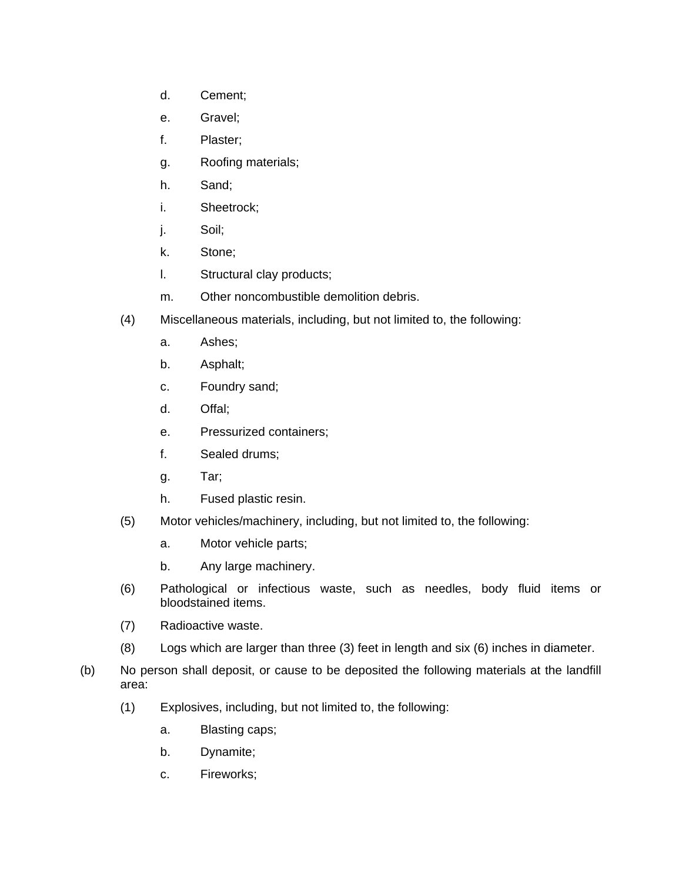- d. Cement;
- e. Gravel;
- f. Plaster;
- g. Roofing materials;
- h. Sand;
- i. Sheetrock;
- j. Soil;
- k. Stone;
- l. Structural clay products;
- m. Other noncombustible demolition debris.
- (4) Miscellaneous materials, including, but not limited to, the following:
	- a. Ashes;
	- b. Asphalt;
	- c. Foundry sand;
	- d. Offal;
	- e. Pressurized containers;
	- f. Sealed drums;
	- g. Tar;
	- h. Fused plastic resin.
- (5) Motor vehicles/machinery, including, but not limited to, the following:
	- a. Motor vehicle parts;
	- b. Any large machinery.
- (6) Pathological or infectious waste, such as needles, body fluid items or bloodstained items.
- (7) Radioactive waste.
- (8) Logs which are larger than three (3) feet in length and six (6) inches in diameter.
- (b) No person shall deposit, or cause to be deposited the following materials at the landfill area:
	- (1) Explosives, including, but not limited to, the following:
		- a. Blasting caps;
		- b. Dynamite;
		- c. Fireworks;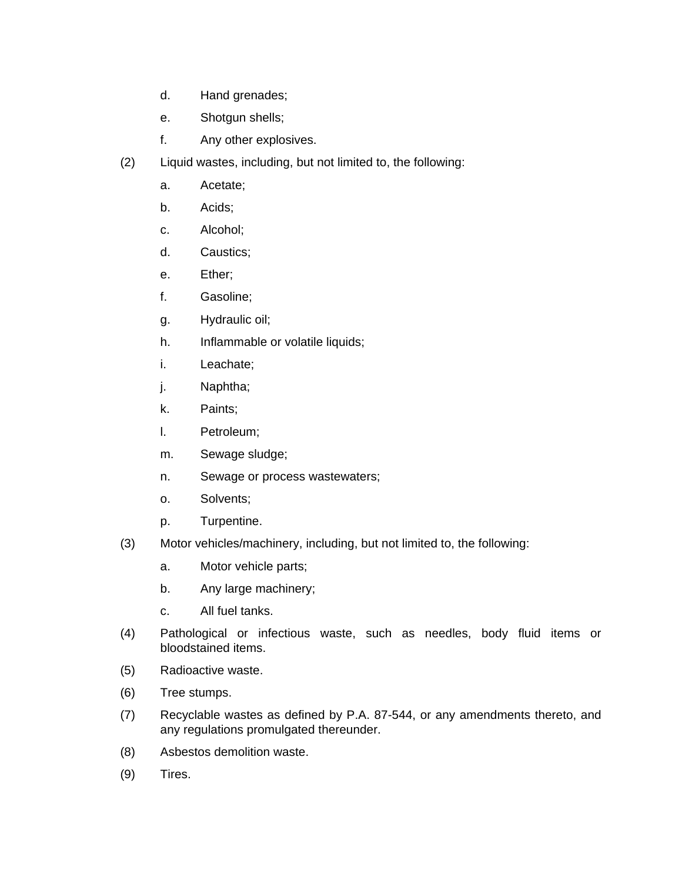- d. Hand grenades;
- e. Shotgun shells;
- f. Any other explosives.
- (2) Liquid wastes, including, but not limited to, the following:
	- a. Acetate;
	- b. Acids;
	- c. Alcohol;
	- d. Caustics;
	- e. Ether;
	- f. Gasoline;
	- g. Hydraulic oil;
	- h. Inflammable or volatile liquids;
	- i. Leachate;
	- j. Naphtha;
	- k. Paints;
	- l. Petroleum;
	- m. Sewage sludge;
	- n. Sewage or process wastewaters;
	- o. Solvents;
	- p. Turpentine.
- (3) Motor vehicles/machinery, including, but not limited to, the following:
	- a. Motor vehicle parts;
	- b. Any large machinery;
	- c. All fuel tanks.
- (4) Pathological or infectious waste, such as needles, body fluid items or bloodstained items.
- (5) Radioactive waste.
- (6) Tree stumps.
- (7) Recyclable wastes as defined by P.A. 87-544, or any amendments thereto, and any regulations promulgated thereunder.
- (8) Asbestos demolition waste.
- (9) Tires.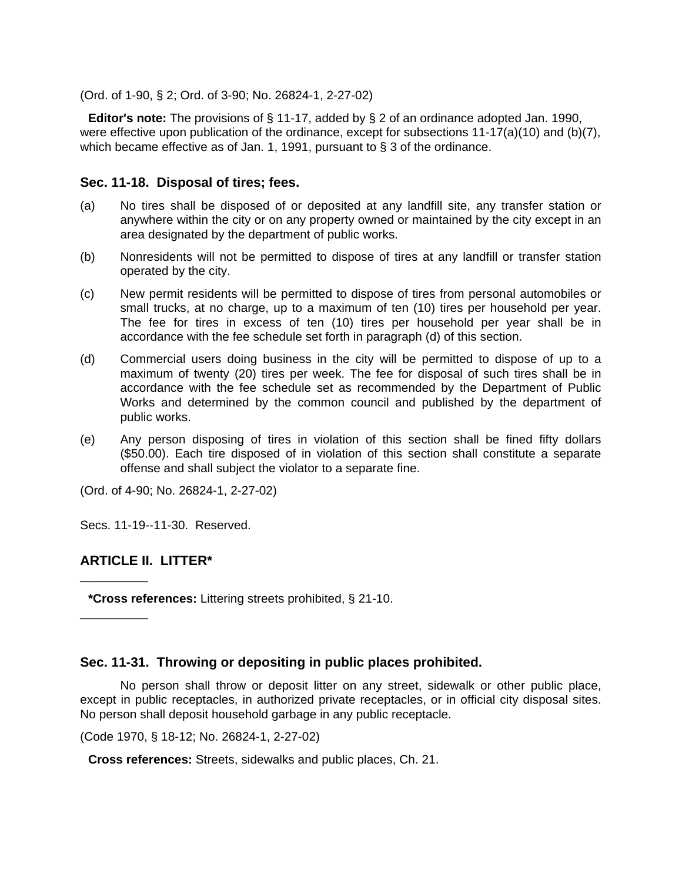(Ord. of 1-90, § 2; Ord. of 3-90; No. 26824-1, 2-27-02)

**Editor's note:** The provisions of § 11-17, added by § 2 of an ordinance adopted Jan. 1990, were effective upon publication of the ordinance, except for subsections 11-17(a)(10) and (b)(7), which became effective as of Jan. 1, 1991, pursuant to § 3 of the ordinance.

## **Sec. 11-18. Disposal of tires; fees.**

- (a) No tires shall be disposed of or deposited at any landfill site, any transfer station or anywhere within the city or on any property owned or maintained by the city except in an area designated by the department of public works.
- (b) Nonresidents will not be permitted to dispose of tires at any landfill or transfer station operated by the city.
- (c) New permit residents will be permitted to dispose of tires from personal automobiles or small trucks, at no charge, up to a maximum of ten (10) tires per household per year. The fee for tires in excess of ten (10) tires per household per year shall be in accordance with the fee schedule set forth in paragraph (d) of this section.
- (d) Commercial users doing business in the city will be permitted to dispose of up to a maximum of twenty (20) tires per week. The fee for disposal of such tires shall be in accordance with the fee schedule set as recommended by the Department of Public Works and determined by the common council and published by the department of public works.
- (e) Any person disposing of tires in violation of this section shall be fined fifty dollars (\$50.00). Each tire disposed of in violation of this section shall constitute a separate offense and shall subject the violator to a separate fine.

(Ord. of 4-90; No. 26824-1, 2-27-02)

Secs. 11-19--11-30. Reserved.

# **ARTICLE II. LITTER\***

\_\_\_\_\_\_\_\_\_\_

\_\_\_\_\_\_\_\_\_\_

**\*Cross references:** Littering streets prohibited, § 21-10.

## **Sec. 11-31. Throwing or depositing in public places prohibited.**

No person shall throw or deposit litter on any street, sidewalk or other public place, except in public receptacles, in authorized private receptacles, or in official city disposal sites. No person shall deposit household garbage in any public receptacle.

(Code 1970, § 18-12; No. 26824-1, 2-27-02)

**Cross references:** Streets, sidewalks and public places, Ch. 21.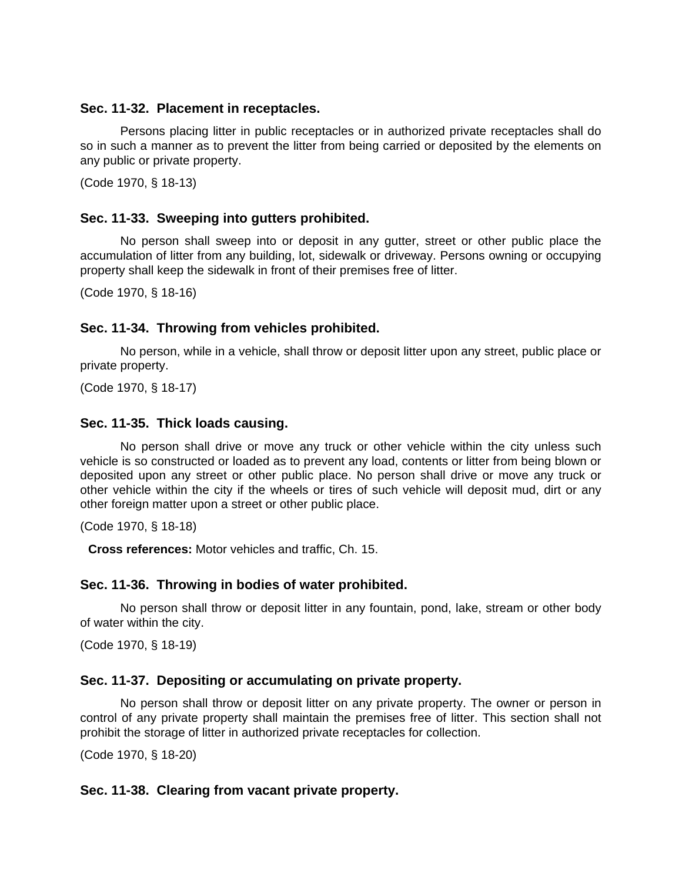### **Sec. 11-32. Placement in receptacles.**

Persons placing litter in public receptacles or in authorized private receptacles shall do so in such a manner as to prevent the litter from being carried or deposited by the elements on any public or private property.

(Code 1970, § 18-13)

## **Sec. 11-33. Sweeping into gutters prohibited.**

No person shall sweep into or deposit in any gutter, street or other public place the accumulation of litter from any building, lot, sidewalk or driveway. Persons owning or occupying property shall keep the sidewalk in front of their premises free of litter.

(Code 1970, § 18-16)

# **Sec. 11-34. Throwing from vehicles prohibited.**

No person, while in a vehicle, shall throw or deposit litter upon any street, public place or private property.

(Code 1970, § 18-17)

## **Sec. 11-35. Thick loads causing.**

No person shall drive or move any truck or other vehicle within the city unless such vehicle is so constructed or loaded as to prevent any load, contents or litter from being blown or deposited upon any street or other public place. No person shall drive or move any truck or other vehicle within the city if the wheels or tires of such vehicle will deposit mud, dirt or any other foreign matter upon a street or other public place.

(Code 1970, § 18-18)

**Cross references:** Motor vehicles and traffic, Ch. 15.

## **Sec. 11-36. Throwing in bodies of water prohibited.**

No person shall throw or deposit litter in any fountain, pond, lake, stream or other body of water within the city.

(Code 1970, § 18-19)

## **Sec. 11-37. Depositing or accumulating on private property.**

No person shall throw or deposit litter on any private property. The owner or person in control of any private property shall maintain the premises free of litter. This section shall not prohibit the storage of litter in authorized private receptacles for collection.

(Code 1970, § 18-20)

## **Sec. 11-38. Clearing from vacant private property.**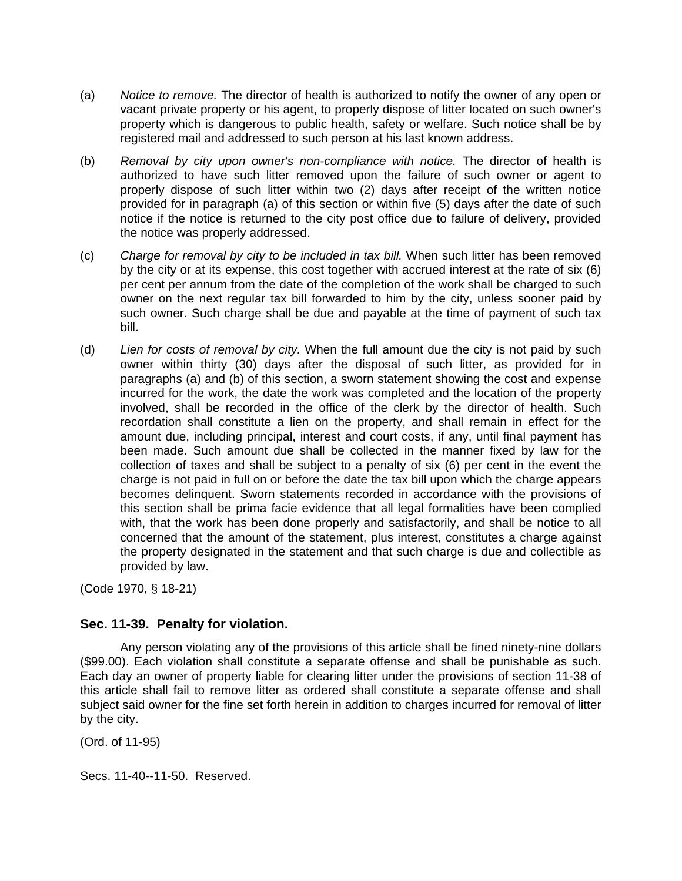- (a) *Notice to remove.* The director of health is authorized to notify the owner of any open or vacant private property or his agent, to properly dispose of litter located on such owner's property which is dangerous to public health, safety or welfare. Such notice shall be by registered mail and addressed to such person at his last known address.
- (b) *Removal by city upon owner's non-compliance with notice.* The director of health is authorized to have such litter removed upon the failure of such owner or agent to properly dispose of such litter within two (2) days after receipt of the written notice provided for in paragraph (a) of this section or within five (5) days after the date of such notice if the notice is returned to the city post office due to failure of delivery, provided the notice was properly addressed.
- (c) *Charge for removal by city to be included in tax bill.* When such litter has been removed by the city or at its expense, this cost together with accrued interest at the rate of six (6) per cent per annum from the date of the completion of the work shall be charged to such owner on the next regular tax bill forwarded to him by the city, unless sooner paid by such owner. Such charge shall be due and payable at the time of payment of such tax bill.
- (d) *Lien for costs of removal by city.* When the full amount due the city is not paid by such owner within thirty (30) days after the disposal of such litter, as provided for in paragraphs (a) and (b) of this section, a sworn statement showing the cost and expense incurred for the work, the date the work was completed and the location of the property involved, shall be recorded in the office of the clerk by the director of health. Such recordation shall constitute a lien on the property, and shall remain in effect for the amount due, including principal, interest and court costs, if any, until final payment has been made. Such amount due shall be collected in the manner fixed by law for the collection of taxes and shall be subject to a penalty of six (6) per cent in the event the charge is not paid in full on or before the date the tax bill upon which the charge appears becomes delinquent. Sworn statements recorded in accordance with the provisions of this section shall be prima facie evidence that all legal formalities have been complied with, that the work has been done properly and satisfactorily, and shall be notice to all concerned that the amount of the statement, plus interest, constitutes a charge against the property designated in the statement and that such charge is due and collectible as provided by law.

(Code 1970, § 18-21)

# **Sec. 11-39. Penalty for violation.**

Any person violating any of the provisions of this article shall be fined ninety-nine dollars (\$99.00). Each violation shall constitute a separate offense and shall be punishable as such. Each day an owner of property liable for clearing litter under the provisions of section 11-38 of this article shall fail to remove litter as ordered shall constitute a separate offense and shall subject said owner for the fine set forth herein in addition to charges incurred for removal of litter by the city.

(Ord. of 11-95)

Secs. 11-40--11-50. Reserved.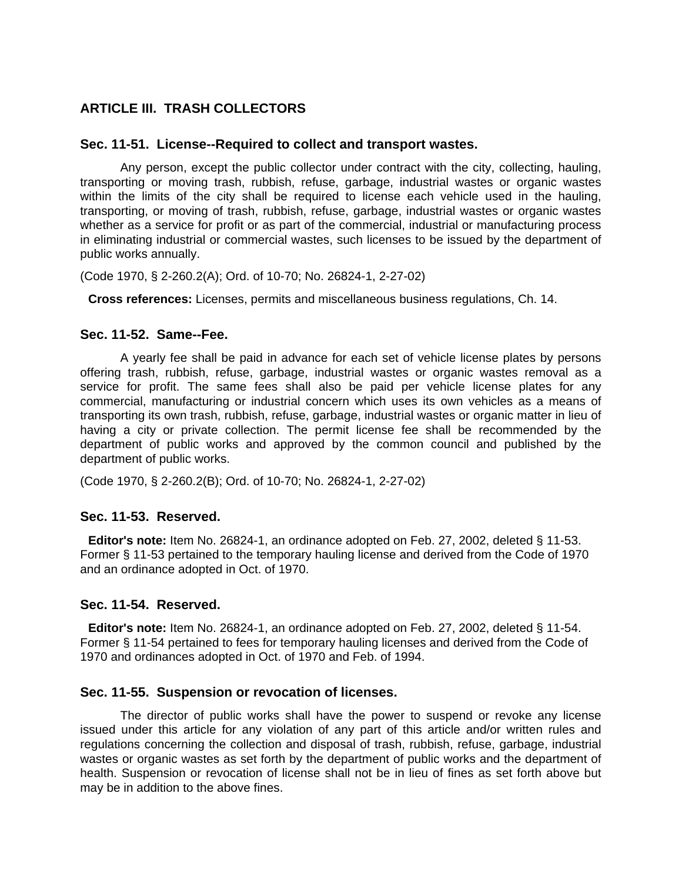# **ARTICLE III. TRASH COLLECTORS**

### **Sec. 11-51. License--Required to collect and transport wastes.**

Any person, except the public collector under contract with the city, collecting, hauling, transporting or moving trash, rubbish, refuse, garbage, industrial wastes or organic wastes within the limits of the city shall be required to license each vehicle used in the hauling, transporting, or moving of trash, rubbish, refuse, garbage, industrial wastes or organic wastes whether as a service for profit or as part of the commercial, industrial or manufacturing process in eliminating industrial or commercial wastes, such licenses to be issued by the department of public works annually.

(Code 1970, § 2-260.2(A); Ord. of 10-70; No. 26824-1, 2-27-02)

**Cross references:** Licenses, permits and miscellaneous business regulations, Ch. 14.

### **Sec. 11-52. Same--Fee.**

A yearly fee shall be paid in advance for each set of vehicle license plates by persons offering trash, rubbish, refuse, garbage, industrial wastes or organic wastes removal as a service for profit. The same fees shall also be paid per vehicle license plates for any commercial, manufacturing or industrial concern which uses its own vehicles as a means of transporting its own trash, rubbish, refuse, garbage, industrial wastes or organic matter in lieu of having a city or private collection. The permit license fee shall be recommended by the department of public works and approved by the common council and published by the department of public works.

(Code 1970, § 2-260.2(B); Ord. of 10-70; No. 26824-1, 2-27-02)

#### **Sec. 11-53. Reserved.**

**Editor's note:** Item No. 26824-1, an ordinance adopted on Feb. 27, 2002, deleted § 11-53. Former § 11-53 pertained to the temporary hauling license and derived from the Code of 1970 and an ordinance adopted in Oct. of 1970.

#### **Sec. 11-54. Reserved.**

**Editor's note:** Item No. 26824-1, an ordinance adopted on Feb. 27, 2002, deleted § 11-54. Former § 11-54 pertained to fees for temporary hauling licenses and derived from the Code of 1970 and ordinances adopted in Oct. of 1970 and Feb. of 1994.

#### **Sec. 11-55. Suspension or revocation of licenses.**

The director of public works shall have the power to suspend or revoke any license issued under this article for any violation of any part of this article and/or written rules and regulations concerning the collection and disposal of trash, rubbish, refuse, garbage, industrial wastes or organic wastes as set forth by the department of public works and the department of health. Suspension or revocation of license shall not be in lieu of fines as set forth above but may be in addition to the above fines.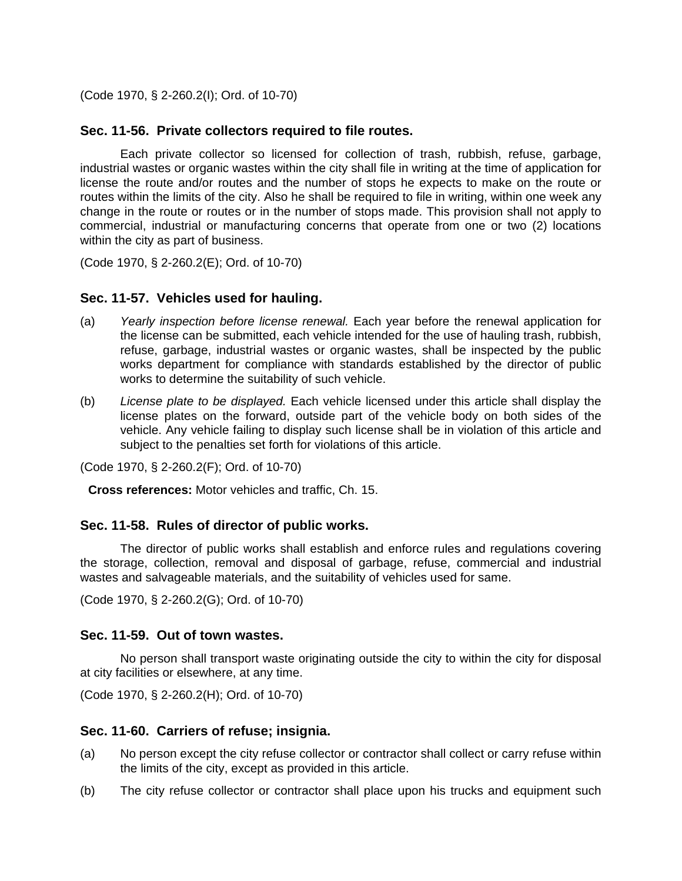(Code 1970, § 2-260.2(I); Ord. of 10-70)

# **Sec. 11-56. Private collectors required to file routes.**

Each private collector so licensed for collection of trash, rubbish, refuse, garbage, industrial wastes or organic wastes within the city shall file in writing at the time of application for license the route and/or routes and the number of stops he expects to make on the route or routes within the limits of the city. Also he shall be required to file in writing, within one week any change in the route or routes or in the number of stops made. This provision shall not apply to commercial, industrial or manufacturing concerns that operate from one or two (2) locations within the city as part of business.

(Code 1970, § 2-260.2(E); Ord. of 10-70)

# **Sec. 11-57. Vehicles used for hauling.**

- (a) *Yearly inspection before license renewal.* Each year before the renewal application for the license can be submitted, each vehicle intended for the use of hauling trash, rubbish, refuse, garbage, industrial wastes or organic wastes, shall be inspected by the public works department for compliance with standards established by the director of public works to determine the suitability of such vehicle.
- (b) *License plate to be displayed.* Each vehicle licensed under this article shall display the license plates on the forward, outside part of the vehicle body on both sides of the vehicle. Any vehicle failing to display such license shall be in violation of this article and subject to the penalties set forth for violations of this article.

(Code 1970, § 2-260.2(F); Ord. of 10-70)

**Cross references:** Motor vehicles and traffic, Ch. 15.

## **Sec. 11-58. Rules of director of public works.**

The director of public works shall establish and enforce rules and regulations covering the storage, collection, removal and disposal of garbage, refuse, commercial and industrial wastes and salvageable materials, and the suitability of vehicles used for same.

(Code 1970, § 2-260.2(G); Ord. of 10-70)

## **Sec. 11-59. Out of town wastes.**

No person shall transport waste originating outside the city to within the city for disposal at city facilities or elsewhere, at any time.

```
(Code 1970, § 2-260.2(H); Ord. of 10-70)
```
## **Sec. 11-60. Carriers of refuse; insignia.**

- (a) No person except the city refuse collector or contractor shall collect or carry refuse within the limits of the city, except as provided in this article.
- (b) The city refuse collector or contractor shall place upon his trucks and equipment such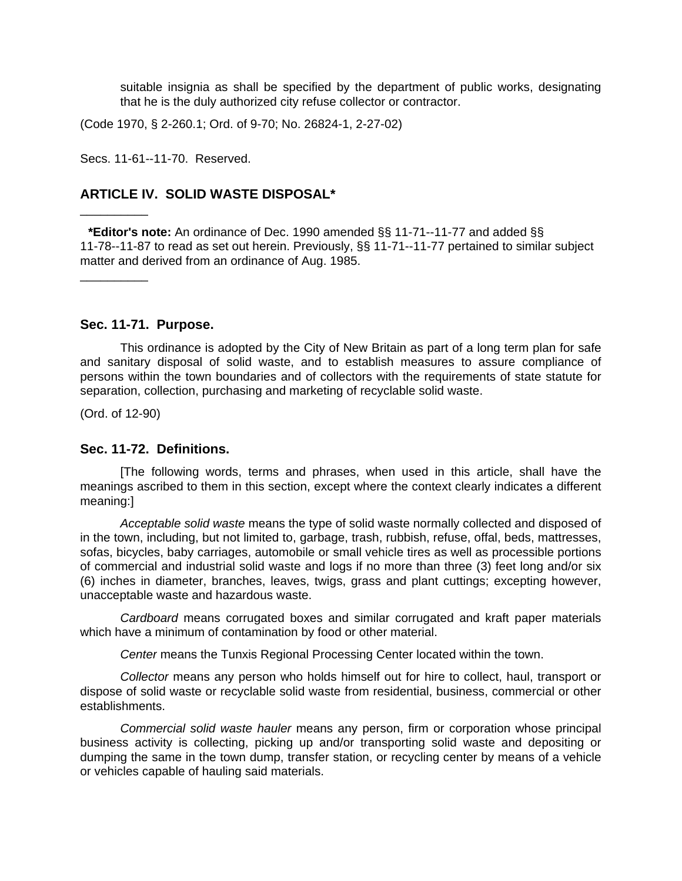suitable insignia as shall be specified by the department of public works, designating that he is the duly authorized city refuse collector or contractor.

(Code 1970, § 2-260.1; Ord. of 9-70; No. 26824-1, 2-27-02)

Secs. 11-61--11-70. Reserved.

# **ARTICLE IV. SOLID WASTE DISPOSAL\***

**\*Editor's note:** An ordinance of Dec. 1990 amended §§ 11-71--11-77 and added §§ 11-78--11-87 to read as set out herein. Previously, §§ 11-71--11-77 pertained to similar subject matter and derived from an ordinance of Aug. 1985.

**Sec. 11-71. Purpose.**

This ordinance is adopted by the City of New Britain as part of a long term plan for safe and sanitary disposal of solid waste, and to establish measures to assure compliance of persons within the town boundaries and of collectors with the requirements of state statute for separation, collection, purchasing and marketing of recyclable solid waste.

(Ord. of 12-90)

\_\_\_\_\_\_\_\_\_\_

\_\_\_\_\_\_\_\_\_\_

#### **Sec. 11-72. Definitions.**

[The following words, terms and phrases, when used in this article, shall have the meanings ascribed to them in this section, except where the context clearly indicates a different meaning:]

*Acceptable solid waste* means the type of solid waste normally collected and disposed of in the town, including, but not limited to, garbage, trash, rubbish, refuse, offal, beds, mattresses, sofas, bicycles, baby carriages, automobile or small vehicle tires as well as processible portions of commercial and industrial solid waste and logs if no more than three (3) feet long and/or six (6) inches in diameter, branches, leaves, twigs, grass and plant cuttings; excepting however, unacceptable waste and hazardous waste.

*Cardboard* means corrugated boxes and similar corrugated and kraft paper materials which have a minimum of contamination by food or other material.

*Center* means the Tunxis Regional Processing Center located within the town.

*Collector* means any person who holds himself out for hire to collect, haul, transport or dispose of solid waste or recyclable solid waste from residential, business, commercial or other establishments.

*Commercial solid waste hauler* means any person, firm or corporation whose principal business activity is collecting, picking up and/or transporting solid waste and depositing or dumping the same in the town dump, transfer station, or recycling center by means of a vehicle or vehicles capable of hauling said materials.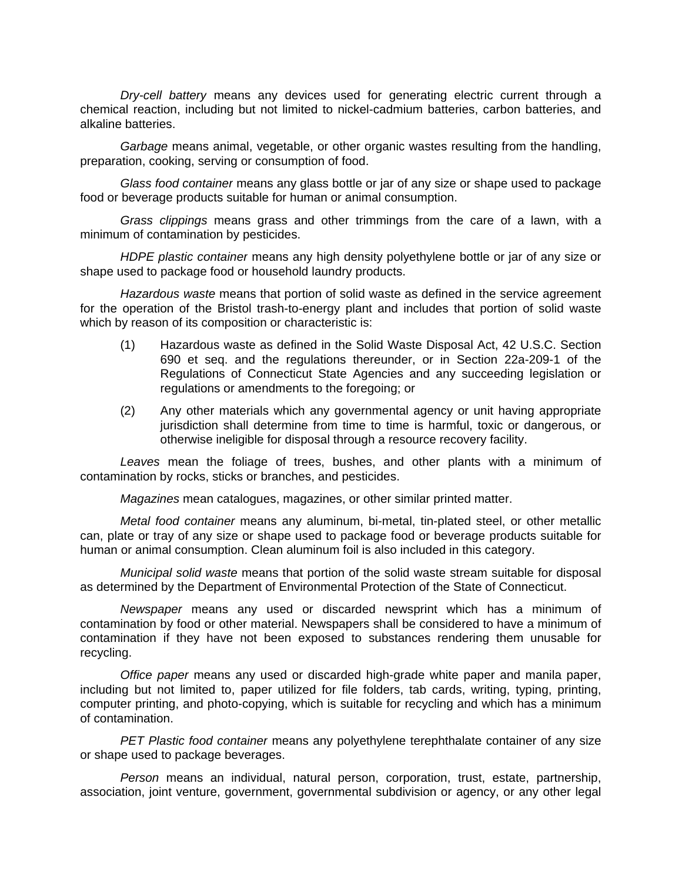*Dry-cell battery* means any devices used for generating electric current through a chemical reaction, including but not limited to nickel-cadmium batteries, carbon batteries, and alkaline batteries.

*Garbage* means animal, vegetable, or other organic wastes resulting from the handling, preparation, cooking, serving or consumption of food.

*Glass food container* means any glass bottle or jar of any size or shape used to package food or beverage products suitable for human or animal consumption.

*Grass clippings* means grass and other trimmings from the care of a lawn, with a minimum of contamination by pesticides.

*HDPE plastic container* means any high density polyethylene bottle or jar of any size or shape used to package food or household laundry products.

*Hazardous waste* means that portion of solid waste as defined in the service agreement for the operation of the Bristol trash-to-energy plant and includes that portion of solid waste which by reason of its composition or characteristic is:

- (1) Hazardous waste as defined in the Solid Waste Disposal Act, 42 U.S.C. Section 690 et seq. and the regulations thereunder, or in Section 22a-209-1 of the Regulations of Connecticut State Agencies and any succeeding legislation or regulations or amendments to the foregoing; or
- (2) Any other materials which any governmental agency or unit having appropriate jurisdiction shall determine from time to time is harmful, toxic or dangerous, or otherwise ineligible for disposal through a resource recovery facility.

*Leaves* mean the foliage of trees, bushes, and other plants with a minimum of contamination by rocks, sticks or branches, and pesticides.

*Magazines* mean catalogues, magazines, or other similar printed matter.

*Metal food container* means any aluminum, bi-metal, tin-plated steel, or other metallic can, plate or tray of any size or shape used to package food or beverage products suitable for human or animal consumption. Clean aluminum foil is also included in this category.

*Municipal solid waste* means that portion of the solid waste stream suitable for disposal as determined by the Department of Environmental Protection of the State of Connecticut.

*Newspaper* means any used or discarded newsprint which has a minimum of contamination by food or other material. Newspapers shall be considered to have a minimum of contamination if they have not been exposed to substances rendering them unusable for recycling.

*Office paper* means any used or discarded high-grade white paper and manila paper, including but not limited to, paper utilized for file folders, tab cards, writing, typing, printing, computer printing, and photo-copying, which is suitable for recycling and which has a minimum of contamination.

*PET Plastic food container* means any polyethylene terephthalate container of any size or shape used to package beverages.

*Person* means an individual, natural person, corporation, trust, estate, partnership, association, joint venture, government, governmental subdivision or agency, or any other legal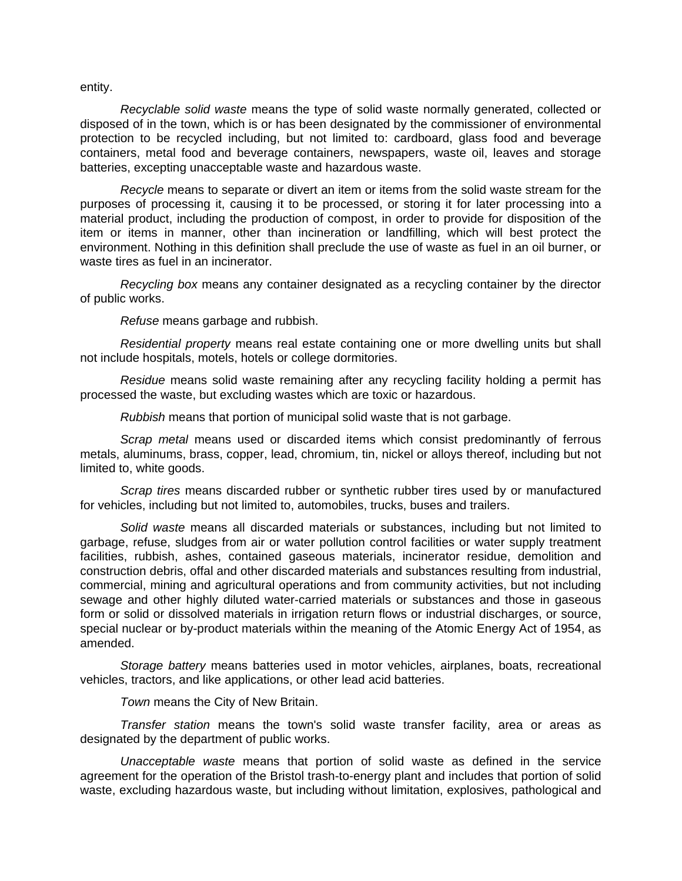entity.

*Recyclable solid waste* means the type of solid waste normally generated, collected or disposed of in the town, which is or has been designated by the commissioner of environmental protection to be recycled including, but not limited to: cardboard, glass food and beverage containers, metal food and beverage containers, newspapers, waste oil, leaves and storage batteries, excepting unacceptable waste and hazardous waste.

*Recycle* means to separate or divert an item or items from the solid waste stream for the purposes of processing it, causing it to be processed, or storing it for later processing into a material product, including the production of compost, in order to provide for disposition of the item or items in manner, other than incineration or landfilling, which will best protect the environment. Nothing in this definition shall preclude the use of waste as fuel in an oil burner, or waste tires as fuel in an incinerator.

*Recycling box* means any container designated as a recycling container by the director of public works.

*Refuse* means garbage and rubbish.

*Residential property* means real estate containing one or more dwelling units but shall not include hospitals, motels, hotels or college dormitories.

*Residue* means solid waste remaining after any recycling facility holding a permit has processed the waste, but excluding wastes which are toxic or hazardous.

*Rubbish* means that portion of municipal solid waste that is not garbage.

*Scrap metal* means used or discarded items which consist predominantly of ferrous metals, aluminums, brass, copper, lead, chromium, tin, nickel or alloys thereof, including but not limited to, white goods.

*Scrap tires* means discarded rubber or synthetic rubber tires used by or manufactured for vehicles, including but not limited to, automobiles, trucks, buses and trailers.

*Solid waste* means all discarded materials or substances, including but not limited to garbage, refuse, sludges from air or water pollution control facilities or water supply treatment facilities, rubbish, ashes, contained gaseous materials, incinerator residue, demolition and construction debris, offal and other discarded materials and substances resulting from industrial, commercial, mining and agricultural operations and from community activities, but not including sewage and other highly diluted water-carried materials or substances and those in gaseous form or solid or dissolved materials in irrigation return flows or industrial discharges, or source, special nuclear or by-product materials within the meaning of the Atomic Energy Act of 1954, as amended.

*Storage battery* means batteries used in motor vehicles, airplanes, boats, recreational vehicles, tractors, and like applications, or other lead acid batteries.

*Town* means the City of New Britain.

*Transfer station* means the town's solid waste transfer facility, area or areas as designated by the department of public works.

*Unacceptable waste* means that portion of solid waste as defined in the service agreement for the operation of the Bristol trash-to-energy plant and includes that portion of solid waste, excluding hazardous waste, but including without limitation, explosives, pathological and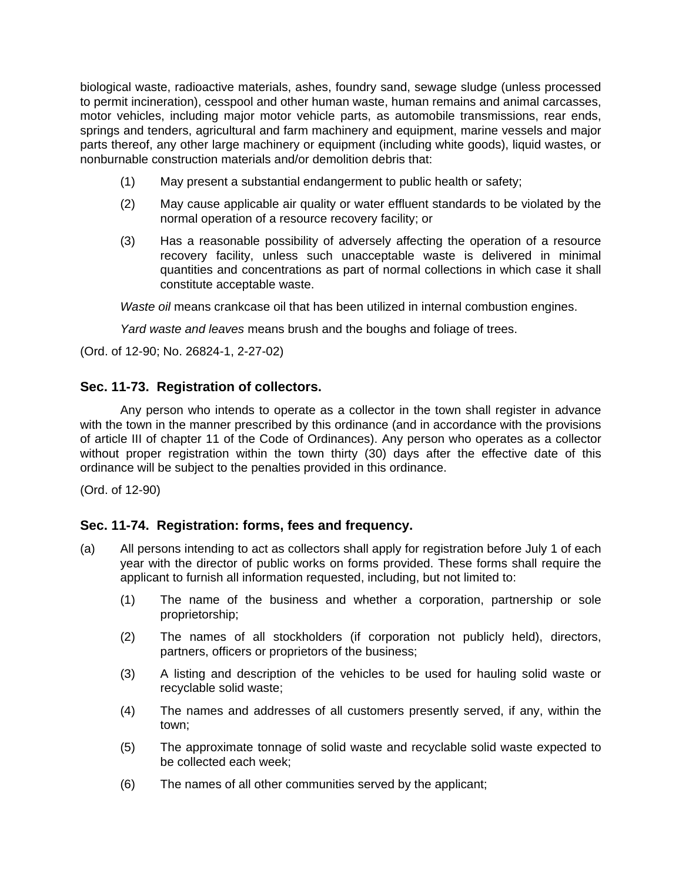biological waste, radioactive materials, ashes, foundry sand, sewage sludge (unless processed to permit incineration), cesspool and other human waste, human remains and animal carcasses, motor vehicles, including major motor vehicle parts, as automobile transmissions, rear ends, springs and tenders, agricultural and farm machinery and equipment, marine vessels and major parts thereof, any other large machinery or equipment (including white goods), liquid wastes, or nonburnable construction materials and/or demolition debris that:

- (1) May present a substantial endangerment to public health or safety;
- (2) May cause applicable air quality or water effluent standards to be violated by the normal operation of a resource recovery facility; or
- (3) Has a reasonable possibility of adversely affecting the operation of a resource recovery facility, unless such unacceptable waste is delivered in minimal quantities and concentrations as part of normal collections in which case it shall constitute acceptable waste.

*Waste oil* means crankcase oil that has been utilized in internal combustion engines.

*Yard waste and leaves* means brush and the boughs and foliage of trees.

(Ord. of 12-90; No. 26824-1, 2-27-02)

# **Sec. 11-73. Registration of collectors.**

Any person who intends to operate as a collector in the town shall register in advance with the town in the manner prescribed by this ordinance (and in accordance with the provisions of article III of chapter 11 of the Code of Ordinances). Any person who operates as a collector without proper registration within the town thirty (30) days after the effective date of this ordinance will be subject to the penalties provided in this ordinance.

(Ord. of 12-90)

# **Sec. 11-74. Registration: forms, fees and frequency.**

- (a) All persons intending to act as collectors shall apply for registration before July 1 of each year with the director of public works on forms provided. These forms shall require the applicant to furnish all information requested, including, but not limited to:
	- (1) The name of the business and whether a corporation, partnership or sole proprietorship;
	- (2) The names of all stockholders (if corporation not publicly held), directors, partners, officers or proprietors of the business;
	- (3) A listing and description of the vehicles to be used for hauling solid waste or recyclable solid waste;
	- (4) The names and addresses of all customers presently served, if any, within the town;
	- (5) The approximate tonnage of solid waste and recyclable solid waste expected to be collected each week;
	- (6) The names of all other communities served by the applicant;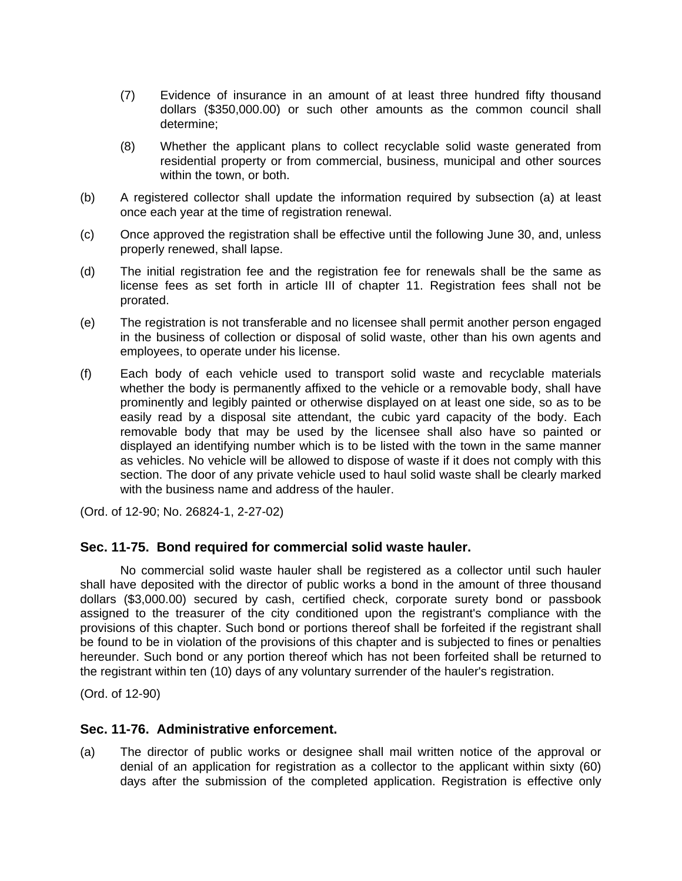- (7) Evidence of insurance in an amount of at least three hundred fifty thousand dollars (\$350,000.00) or such other amounts as the common council shall determine;
- (8) Whether the applicant plans to collect recyclable solid waste generated from residential property or from commercial, business, municipal and other sources within the town, or both.
- (b) A registered collector shall update the information required by subsection (a) at least once each year at the time of registration renewal.
- (c) Once approved the registration shall be effective until the following June 30, and, unless properly renewed, shall lapse.
- (d) The initial registration fee and the registration fee for renewals shall be the same as license fees as set forth in article III of chapter 11. Registration fees shall not be prorated.
- (e) The registration is not transferable and no licensee shall permit another person engaged in the business of collection or disposal of solid waste, other than his own agents and employees, to operate under his license.
- (f) Each body of each vehicle used to transport solid waste and recyclable materials whether the body is permanently affixed to the vehicle or a removable body, shall have prominently and legibly painted or otherwise displayed on at least one side, so as to be easily read by a disposal site attendant, the cubic yard capacity of the body. Each removable body that may be used by the licensee shall also have so painted or displayed an identifying number which is to be listed with the town in the same manner as vehicles. No vehicle will be allowed to dispose of waste if it does not comply with this section. The door of any private vehicle used to haul solid waste shall be clearly marked with the business name and address of the hauler.

(Ord. of 12-90; No. 26824-1, 2-27-02)

## **Sec. 11-75. Bond required for commercial solid waste hauler.**

No commercial solid waste hauler shall be registered as a collector until such hauler shall have deposited with the director of public works a bond in the amount of three thousand dollars (\$3,000.00) secured by cash, certified check, corporate surety bond or passbook assigned to the treasurer of the city conditioned upon the registrant's compliance with the provisions of this chapter. Such bond or portions thereof shall be forfeited if the registrant shall be found to be in violation of the provisions of this chapter and is subjected to fines or penalties hereunder. Such bond or any portion thereof which has not been forfeited shall be returned to the registrant within ten (10) days of any voluntary surrender of the hauler's registration.

(Ord. of 12-90)

## **Sec. 11-76. Administrative enforcement.**

(a) The director of public works or designee shall mail written notice of the approval or denial of an application for registration as a collector to the applicant within sixty (60) days after the submission of the completed application. Registration is effective only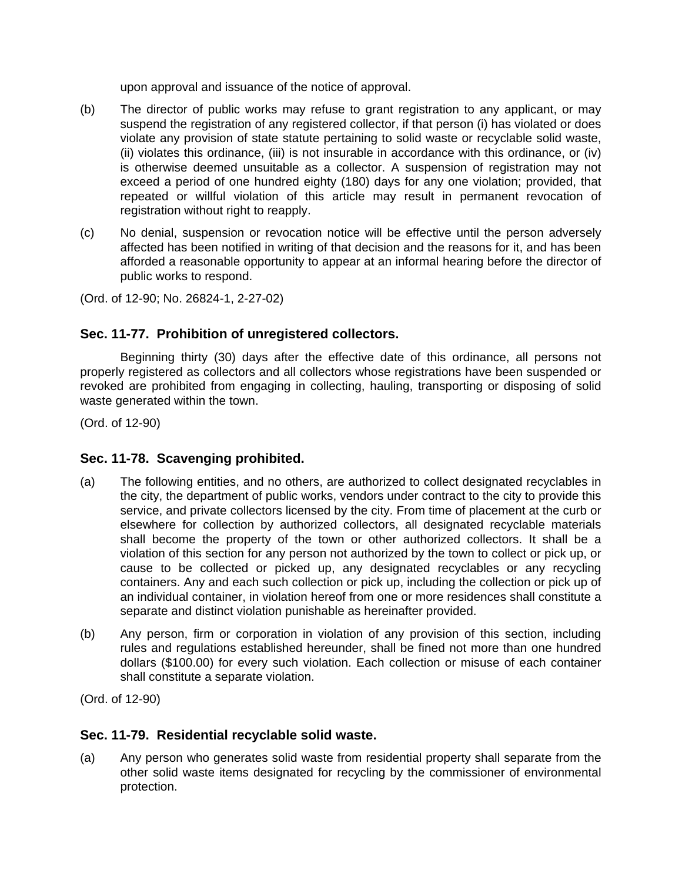upon approval and issuance of the notice of approval.

- (b) The director of public works may refuse to grant registration to any applicant, or may suspend the registration of any registered collector, if that person (i) has violated or does violate any provision of state statute pertaining to solid waste or recyclable solid waste, (ii) violates this ordinance, (iii) is not insurable in accordance with this ordinance, or (iv) is otherwise deemed unsuitable as a collector. A suspension of registration may not exceed a period of one hundred eighty (180) days for any one violation; provided, that repeated or willful violation of this article may result in permanent revocation of registration without right to reapply.
- (c) No denial, suspension or revocation notice will be effective until the person adversely affected has been notified in writing of that decision and the reasons for it, and has been afforded a reasonable opportunity to appear at an informal hearing before the director of public works to respond.

(Ord. of 12-90; No. 26824-1, 2-27-02)

# **Sec. 11-77. Prohibition of unregistered collectors.**

Beginning thirty (30) days after the effective date of this ordinance, all persons not properly registered as collectors and all collectors whose registrations have been suspended or revoked are prohibited from engaging in collecting, hauling, transporting or disposing of solid waste generated within the town.

(Ord. of 12-90)

# **Sec. 11-78. Scavenging prohibited.**

- (a) The following entities, and no others, are authorized to collect designated recyclables in the city, the department of public works, vendors under contract to the city to provide this service, and private collectors licensed by the city. From time of placement at the curb or elsewhere for collection by authorized collectors, all designated recyclable materials shall become the property of the town or other authorized collectors. It shall be a violation of this section for any person not authorized by the town to collect or pick up, or cause to be collected or picked up, any designated recyclables or any recycling containers. Any and each such collection or pick up, including the collection or pick up of an individual container, in violation hereof from one or more residences shall constitute a separate and distinct violation punishable as hereinafter provided.
- (b) Any person, firm or corporation in violation of any provision of this section, including rules and regulations established hereunder, shall be fined not more than one hundred dollars (\$100.00) for every such violation. Each collection or misuse of each container shall constitute a separate violation.

(Ord. of 12-90)

# **Sec. 11-79. Residential recyclable solid waste.**

(a) Any person who generates solid waste from residential property shall separate from the other solid waste items designated for recycling by the commissioner of environmental protection.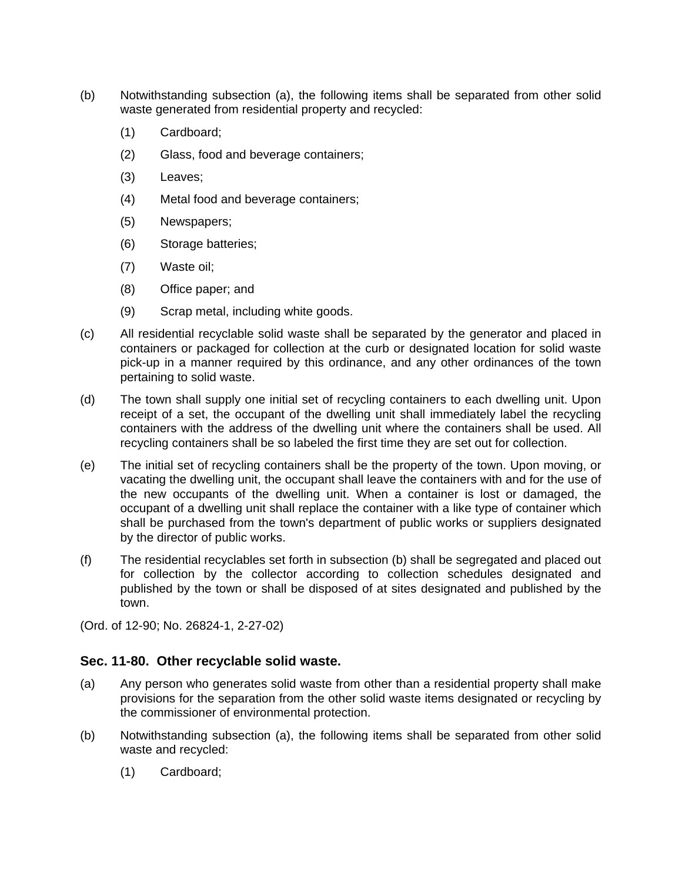- (b) Notwithstanding subsection (a), the following items shall be separated from other solid waste generated from residential property and recycled:
	- (1) Cardboard;
	- (2) Glass, food and beverage containers;
	- (3) Leaves;
	- (4) Metal food and beverage containers;
	- (5) Newspapers;
	- (6) Storage batteries;
	- (7) Waste oil;
	- (8) Office paper; and
	- (9) Scrap metal, including white goods.
- (c) All residential recyclable solid waste shall be separated by the generator and placed in containers or packaged for collection at the curb or designated location for solid waste pick-up in a manner required by this ordinance, and any other ordinances of the town pertaining to solid waste.
- (d) The town shall supply one initial set of recycling containers to each dwelling unit. Upon receipt of a set, the occupant of the dwelling unit shall immediately label the recycling containers with the address of the dwelling unit where the containers shall be used. All recycling containers shall be so labeled the first time they are set out for collection.
- (e) The initial set of recycling containers shall be the property of the town. Upon moving, or vacating the dwelling unit, the occupant shall leave the containers with and for the use of the new occupants of the dwelling unit. When a container is lost or damaged, the occupant of a dwelling unit shall replace the container with a like type of container which shall be purchased from the town's department of public works or suppliers designated by the director of public works.
- (f) The residential recyclables set forth in subsection (b) shall be segregated and placed out for collection by the collector according to collection schedules designated and published by the town or shall be disposed of at sites designated and published by the town.

(Ord. of 12-90; No. 26824-1, 2-27-02)

## **Sec. 11-80. Other recyclable solid waste.**

- (a) Any person who generates solid waste from other than a residential property shall make provisions for the separation from the other solid waste items designated or recycling by the commissioner of environmental protection.
- (b) Notwithstanding subsection (a), the following items shall be separated from other solid waste and recycled:
	- (1) Cardboard;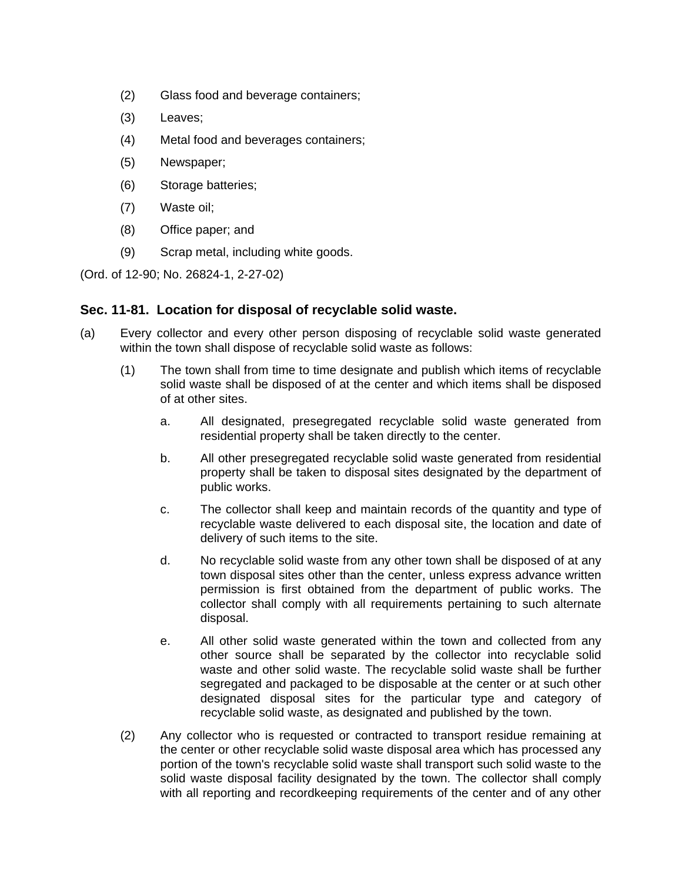- (2) Glass food and beverage containers;
- (3) Leaves;
- (4) Metal food and beverages containers;
- (5) Newspaper;
- (6) Storage batteries;
- (7) Waste oil;
- (8) Office paper; and
- (9) Scrap metal, including white goods.

(Ord. of 12-90; No. 26824-1, 2-27-02)

## **Sec. 11-81. Location for disposal of recyclable solid waste.**

- (a) Every collector and every other person disposing of recyclable solid waste generated within the town shall dispose of recyclable solid waste as follows:
	- (1) The town shall from time to time designate and publish which items of recyclable solid waste shall be disposed of at the center and which items shall be disposed of at other sites.
		- a. All designated, presegregated recyclable solid waste generated from residential property shall be taken directly to the center.
		- b. All other presegregated recyclable solid waste generated from residential property shall be taken to disposal sites designated by the department of public works.
		- c. The collector shall keep and maintain records of the quantity and type of recyclable waste delivered to each disposal site, the location and date of delivery of such items to the site.
		- d. No recyclable solid waste from any other town shall be disposed of at any town disposal sites other than the center, unless express advance written permission is first obtained from the department of public works. The collector shall comply with all requirements pertaining to such alternate disposal.
		- e. All other solid waste generated within the town and collected from any other source shall be separated by the collector into recyclable solid waste and other solid waste. The recyclable solid waste shall be further segregated and packaged to be disposable at the center or at such other designated disposal sites for the particular type and category of recyclable solid waste, as designated and published by the town.
	- (2) Any collector who is requested or contracted to transport residue remaining at the center or other recyclable solid waste disposal area which has processed any portion of the town's recyclable solid waste shall transport such solid waste to the solid waste disposal facility designated by the town. The collector shall comply with all reporting and recordkeeping requirements of the center and of any other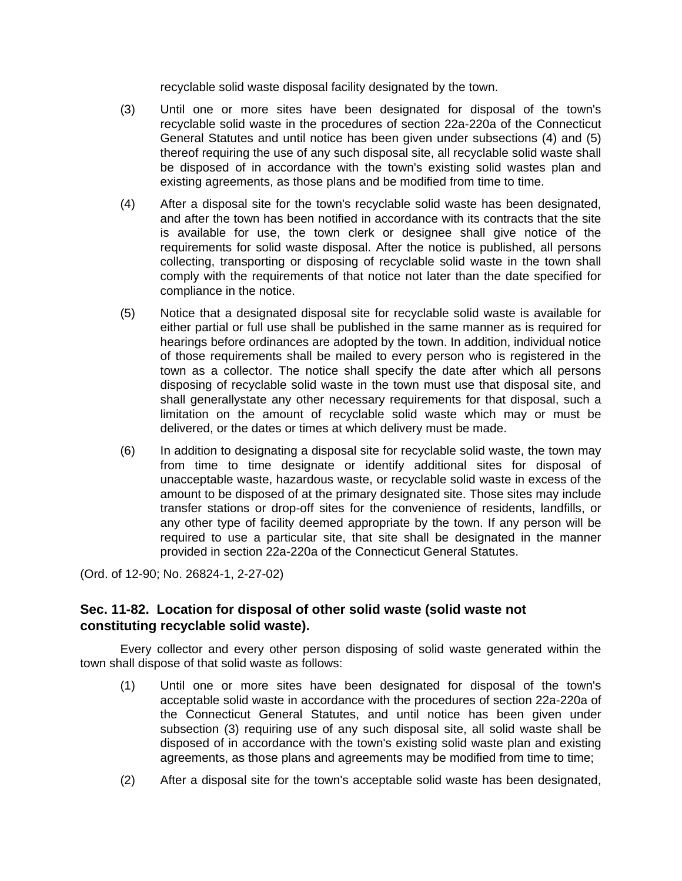recyclable solid waste disposal facility designated by the town.

- (3) Until one or more sites have been designated for disposal of the town's recyclable solid waste in the procedures of section 22a-220a of the Connecticut General Statutes and until notice has been given under subsections (4) and (5) thereof requiring the use of any such disposal site, all recyclable solid waste shall be disposed of in accordance with the town's existing solid wastes plan and existing agreements, as those plans and be modified from time to time.
- (4) After a disposal site for the town's recyclable solid waste has been designated, and after the town has been notified in accordance with its contracts that the site is available for use, the town clerk or designee shall give notice of the requirements for solid waste disposal. After the notice is published, all persons collecting, transporting or disposing of recyclable solid waste in the town shall comply with the requirements of that notice not later than the date specified for compliance in the notice.
- (5) Notice that a designated disposal site for recyclable solid waste is available for either partial or full use shall be published in the same manner as is required for hearings before ordinances are adopted by the town. In addition, individual notice of those requirements shall be mailed to every person who is registered in the town as a collector. The notice shall specify the date after which all persons disposing of recyclable solid waste in the town must use that disposal site, and shall generallystate any other necessary requirements for that disposal, such a limitation on the amount of recyclable solid waste which may or must be delivered, or the dates or times at which delivery must be made.
- (6) In addition to designating a disposal site for recyclable solid waste, the town may from time to time designate or identify additional sites for disposal of unacceptable waste, hazardous waste, or recyclable solid waste in excess of the amount to be disposed of at the primary designated site. Those sites may include transfer stations or drop-off sites for the convenience of residents, landfills, or any other type of facility deemed appropriate by the town. If any person will be required to use a particular site, that site shall be designated in the manner provided in section 22a-220a of the Connecticut General Statutes.

(Ord. of 12-90; No. 26824-1, 2-27-02)

# **Sec. 11-82. Location for disposal of other solid waste (solid waste not constituting recyclable solid waste).**

Every collector and every other person disposing of solid waste generated within the town shall dispose of that solid waste as follows:

- (1) Until one or more sites have been designated for disposal of the town's acceptable solid waste in accordance with the procedures of section 22a-220a of the Connecticut General Statutes, and until notice has been given under subsection (3) requiring use of any such disposal site, all solid waste shall be disposed of in accordance with the town's existing solid waste plan and existing agreements, as those plans and agreements may be modified from time to time;
- (2) After a disposal site for the town's acceptable solid waste has been designated,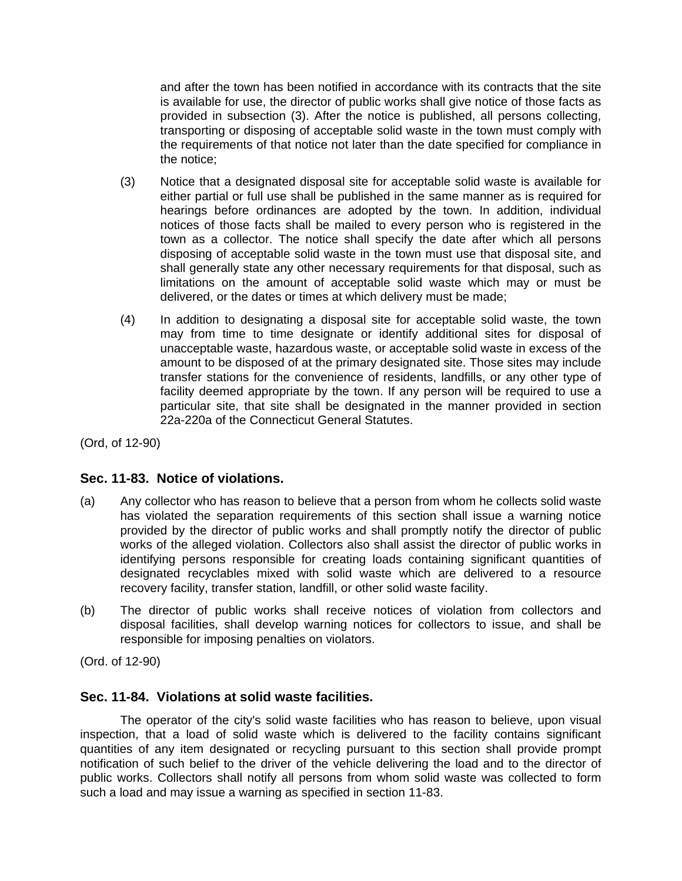and after the town has been notified in accordance with its contracts that the site is available for use, the director of public works shall give notice of those facts as provided in subsection (3). After the notice is published, all persons collecting, transporting or disposing of acceptable solid waste in the town must comply with the requirements of that notice not later than the date specified for compliance in the notice;

- (3) Notice that a designated disposal site for acceptable solid waste is available for either partial or full use shall be published in the same manner as is required for hearings before ordinances are adopted by the town. In addition, individual notices of those facts shall be mailed to every person who is registered in the town as a collector. The notice shall specify the date after which all persons disposing of acceptable solid waste in the town must use that disposal site, and shall generally state any other necessary requirements for that disposal, such as limitations on the amount of acceptable solid waste which may or must be delivered, or the dates or times at which delivery must be made;
- (4) In addition to designating a disposal site for acceptable solid waste, the town may from time to time designate or identify additional sites for disposal of unacceptable waste, hazardous waste, or acceptable solid waste in excess of the amount to be disposed of at the primary designated site. Those sites may include transfer stations for the convenience of residents, landfills, or any other type of facility deemed appropriate by the town. If any person will be required to use a particular site, that site shall be designated in the manner provided in section 22a-220a of the Connecticut General Statutes.

(Ord, of 12-90)

# **Sec. 11-83. Notice of violations.**

- (a) Any collector who has reason to believe that a person from whom he collects solid waste has violated the separation requirements of this section shall issue a warning notice provided by the director of public works and shall promptly notify the director of public works of the alleged violation. Collectors also shall assist the director of public works in identifying persons responsible for creating loads containing significant quantities of designated recyclables mixed with solid waste which are delivered to a resource recovery facility, transfer station, landfill, or other solid waste facility.
- (b) The director of public works shall receive notices of violation from collectors and disposal facilities, shall develop warning notices for collectors to issue, and shall be responsible for imposing penalties on violators.

(Ord. of 12-90)

## **Sec. 11-84. Violations at solid waste facilities.**

The operator of the city's solid waste facilities who has reason to believe, upon visual inspection, that a load of solid waste which is delivered to the facility contains significant quantities of any item designated or recycling pursuant to this section shall provide prompt notification of such belief to the driver of the vehicle delivering the load and to the director of public works. Collectors shall notify all persons from whom solid waste was collected to form such a load and may issue a warning as specified in section 11-83.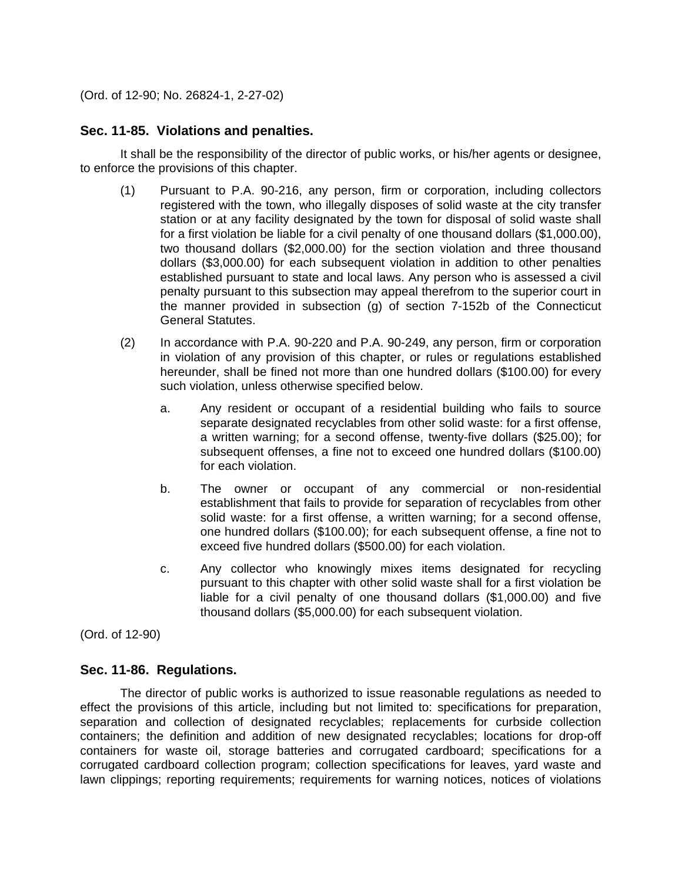(Ord. of 12-90; No. 26824-1, 2-27-02)

### **Sec. 11-85. Violations and penalties.**

It shall be the responsibility of the director of public works, or his/her agents or designee, to enforce the provisions of this chapter.

- (1) Pursuant to P.A. 90-216, any person, firm or corporation, including collectors registered with the town, who illegally disposes of solid waste at the city transfer station or at any facility designated by the town for disposal of solid waste shall for a first violation be liable for a civil penalty of one thousand dollars (\$1,000.00), two thousand dollars (\$2,000.00) for the section violation and three thousand dollars (\$3,000.00) for each subsequent violation in addition to other penalties established pursuant to state and local laws. Any person who is assessed a civil penalty pursuant to this subsection may appeal therefrom to the superior court in the manner provided in subsection (g) of section 7-152b of the Connecticut General Statutes.
- (2) In accordance with P.A. 90-220 and P.A. 90-249, any person, firm or corporation in violation of any provision of this chapter, or rules or regulations established hereunder, shall be fined not more than one hundred dollars (\$100.00) for every such violation, unless otherwise specified below.
	- a. Any resident or occupant of a residential building who fails to source separate designated recyclables from other solid waste: for a first offense, a written warning; for a second offense, twenty-five dollars (\$25.00); for subsequent offenses, a fine not to exceed one hundred dollars (\$100.00) for each violation.
	- b. The owner or occupant of any commercial or non-residential establishment that fails to provide for separation of recyclables from other solid waste: for a first offense, a written warning; for a second offense, one hundred dollars (\$100.00); for each subsequent offense, a fine not to exceed five hundred dollars (\$500.00) for each violation.
	- c. Any collector who knowingly mixes items designated for recycling pursuant to this chapter with other solid waste shall for a first violation be liable for a civil penalty of one thousand dollars (\$1,000.00) and five thousand dollars (\$5,000.00) for each subsequent violation.

(Ord. of 12-90)

## **Sec. 11-86. Regulations.**

The director of public works is authorized to issue reasonable regulations as needed to effect the provisions of this article, including but not limited to: specifications for preparation, separation and collection of designated recyclables; replacements for curbside collection containers; the definition and addition of new designated recyclables; locations for drop-off containers for waste oil, storage batteries and corrugated cardboard; specifications for a corrugated cardboard collection program; collection specifications for leaves, yard waste and lawn clippings; reporting requirements; requirements for warning notices, notices of violations